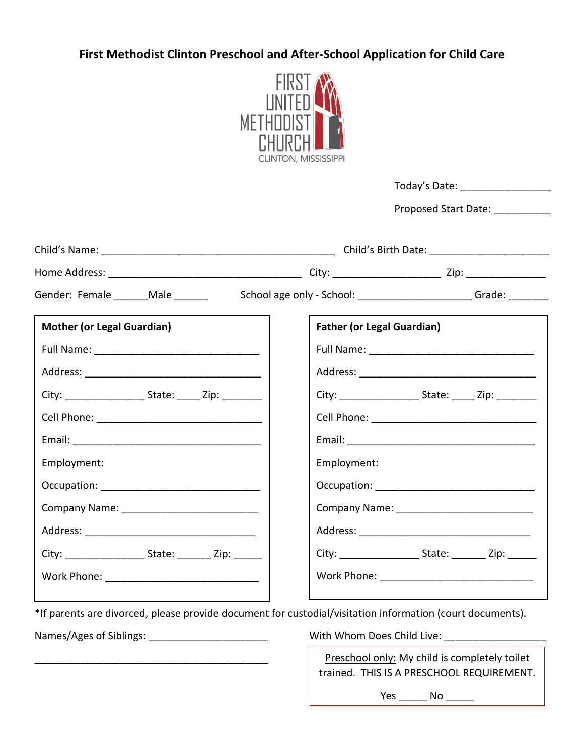## **First Methodist Clinton Preschool and After-School Application for Child Care**



|                                                                                                            |                                   | Proposed Start Date: ___________ |  |
|------------------------------------------------------------------------------------------------------------|-----------------------------------|----------------------------------|--|
|                                                                                                            |                                   |                                  |  |
|                                                                                                            |                                   |                                  |  |
| Gender: Female _______ Male _______<br>School age only - School: _________________________Grade: _________ |                                   |                                  |  |
| <b>Mother (or Legal Guardian)</b>                                                                          | <b>Father (or Legal Guardian)</b> |                                  |  |
|                                                                                                            |                                   |                                  |  |
|                                                                                                            |                                   |                                  |  |
|                                                                                                            |                                   |                                  |  |
|                                                                                                            |                                   |                                  |  |
|                                                                                                            |                                   |                                  |  |
| Employment:                                                                                                | Employment:                       |                                  |  |
|                                                                                                            |                                   |                                  |  |
|                                                                                                            |                                   |                                  |  |
|                                                                                                            |                                   |                                  |  |
| City: ___________________________ State: __________ Zip: ________                                          |                                   |                                  |  |
|                                                                                                            |                                   |                                  |  |

\*If parents are divorced, please provide document for custodial/visitation information (court documents).

Names/Ages of Siblings: \_\_\_\_\_\_\_\_\_\_\_\_\_\_\_\_\_\_\_\_\_ With Whom Does Child Live: \_\_\_\_\_\_\_\_\_\_\_\_\_\_\_\_\_\_

\_\_\_\_\_\_\_\_\_\_\_\_\_\_\_\_\_\_\_\_\_\_\_\_\_\_\_\_\_\_\_\_\_\_\_\_\_\_\_\_\_

Preschool only: My child is completely toilet trained. THIS IS A PRESCHOOL REQUIREMENT.

Yes \_\_\_\_\_\_\_ No \_\_\_\_\_\_\_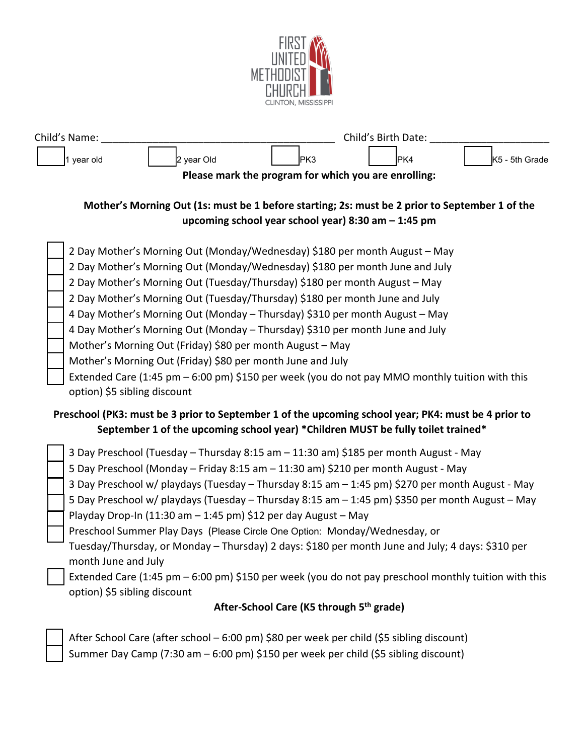

| Child's Name:          |      | Child's Birth Date: |                       |  |
|------------------------|------|---------------------|-----------------------|--|
| 2 year Old<br>vear old | IPK3 | 'PK4                | <b>K5</b> - 5th Grade |  |

**Please mark the program for which you are enrolling:**

## **Mother's Morning Out (1s: must be 1 before starting; 2s: must be 2 prior to September 1 of the upcoming school year school year) 8:30 am – 1:45 pm**

|                                                                                                     | 2 Day Mother's Morning Out (Monday/Wednesday) \$180 per month August - May                             |  |  |
|-----------------------------------------------------------------------------------------------------|--------------------------------------------------------------------------------------------------------|--|--|
|                                                                                                     | 2 Day Mother's Morning Out (Monday/Wednesday) \$180 per month June and July                            |  |  |
|                                                                                                     | 2 Day Mother's Morning Out (Tuesday/Thursday) \$180 per month August - May                             |  |  |
|                                                                                                     | 2 Day Mother's Morning Out (Tuesday/Thursday) \$180 per month June and July                            |  |  |
|                                                                                                     | 4 Day Mother's Morning Out (Monday - Thursday) \$310 per month August - May                            |  |  |
|                                                                                                     | 4 Day Mother's Morning Out (Monday - Thursday) \$310 per month June and July                           |  |  |
|                                                                                                     | Mother's Morning Out (Friday) \$80 per month August - May                                              |  |  |
|                                                                                                     | Mother's Morning Out (Friday) \$80 per month June and July                                             |  |  |
|                                                                                                     | Extended Care (1:45 pm $-$ 6:00 pm) \$150 per week (you do not pay MMO monthly tuition with this       |  |  |
|                                                                                                     | option) \$5 sibling discount                                                                           |  |  |
| Preschool (PK3: must be 3 prior to September 1 of the upcoming school year; PK4: must be 4 prior to |                                                                                                        |  |  |
| September 1 of the upcoming school year) *Children MUST be fully toilet trained*                    |                                                                                                        |  |  |
|                                                                                                     | 3 Day Preschool (Tuesday - Thursday 8:15 am - 11:30 am) \$185 per month August - May                   |  |  |
|                                                                                                     | 5 Day Preschool (Monday - Friday 8:15 am - 11:30 am) \$210 per month August - May                      |  |  |
|                                                                                                     | 3 Day Preschool w/ playdays (Tuesday - Thursday 8:15 am - 1:45 pm) \$270 per month August - May        |  |  |
|                                                                                                     | 5 Day Preschool w/ playdays (Tuesday - Thursday 8:15 am - 1:45 pm) \$350 per month August - May        |  |  |
|                                                                                                     | Playday Drop-In (11:30 am - 1:45 pm) \$12 per day August - May                                         |  |  |
|                                                                                                     | Preschool Summer Play Days (Please Circle One Option: Monday/Wednesday, or                             |  |  |
|                                                                                                     | Tuesday/Thursday, or Monday – Thursday) 2 days: \$180 per month June and July; 4 days: \$310 per       |  |  |
|                                                                                                     | month June and July                                                                                    |  |  |
|                                                                                                     | Extended Care (1:45 pm $-$ 6:00 pm) \$150 per week (you do not pay preschool monthly tuition with this |  |  |
|                                                                                                     | option) \$5 sibling discount                                                                           |  |  |
| After-School Care (K5 through 5 <sup>th</sup> grade)                                                |                                                                                                        |  |  |

 After School Care (after school – 6:00 pm) \$80 per week per child (\$5 sibling discount) Summer Day Camp (7:30 am – 6:00 pm) \$150 per week per child (\$5 sibling discount)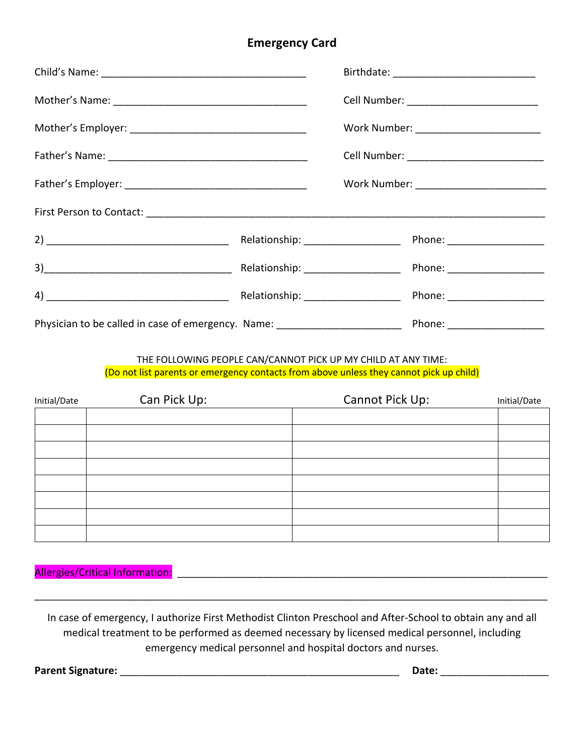#### **Emergency Card**

|                                                                                  |  | Work Number: ___________________________ |
|----------------------------------------------------------------------------------|--|------------------------------------------|
|                                                                                  |  |                                          |
|                                                                                  |  |                                          |
|                                                                                  |  |                                          |
|                                                                                  |  |                                          |
|                                                                                  |  | Phone: _____________________             |
|                                                                                  |  | Phone: ___________________               |
| Physician to be called in case of emergency. Name: _____________________________ |  | Phone: ____________________              |

#### THE FOLLOWING PEOPLE CAN/CANNOT PICK UP MY CHILD AT ANY TIME: (Do not list parents or emergency contacts from above unless they cannot pick up child)

| Initial/Date | Can Pick Up: | Cannot Pick Up: | Initial/Date |
|--------------|--------------|-----------------|--------------|
|              |              |                 |              |
|              |              |                 |              |
|              |              |                 |              |
|              |              |                 |              |
|              |              |                 |              |
|              |              |                 |              |
|              |              |                 |              |
|              |              |                 |              |

Allergies/Critical Information: \_\_\_\_\_\_\_\_\_\_\_\_\_\_\_\_\_\_\_\_\_\_\_\_\_\_\_\_\_\_\_\_\_\_\_\_\_\_\_\_\_\_\_\_\_\_\_\_\_\_\_\_\_\_\_\_\_\_\_\_\_\_\_\_\_

In case of emergency, I authorize First Methodist Clinton Preschool and After-School to obtain any and all medical treatment to be performed as deemed necessary by licensed medical personnel, including emergency medical personnel and hospital doctors and nurses.

\_\_\_\_\_\_\_\_\_\_\_\_\_\_\_\_\_\_\_\_\_\_\_\_\_\_\_\_\_\_\_\_\_\_\_\_\_\_\_\_\_\_\_\_\_\_\_\_\_\_\_\_\_\_\_\_\_\_\_\_\_\_\_\_\_\_\_\_\_\_\_\_\_\_\_\_\_\_\_\_\_\_\_\_\_\_\_\_\_\_

**Parent Signature:** \_\_\_\_\_\_\_\_\_\_\_\_\_\_\_\_\_\_\_\_\_\_\_\_\_\_\_\_\_\_\_\_\_\_\_\_\_\_\_\_\_\_\_\_\_\_\_\_\_ **Date:** \_\_\_\_\_\_\_\_\_\_\_\_\_\_\_\_\_\_\_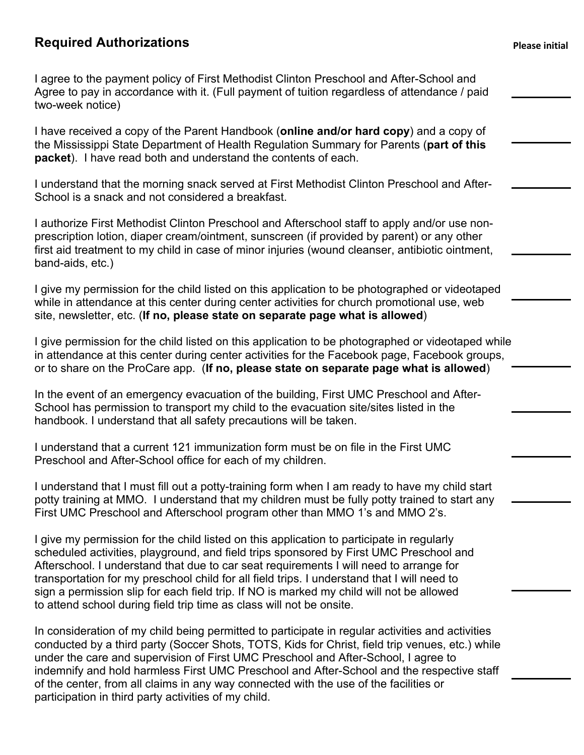## **Required Authorizations Please initial**

I agree to the payment policy of First Methodist Clinton Preschool and After-School and Agree to pay in accordance with it. (Full payment of tuition regardless of attendance / paid two-week notice)

I have received a copy of the Parent Handbook (**online and/or hard copy**) and a copy of the Mississippi State Department of Health Regulation Summary for Parents (**part of this packet**). I have read both and understand the contents of each.

I understand that the morning snack served at First Methodist Clinton Preschool and After-School is a snack and not considered a breakfast.

I authorize First Methodist Clinton Preschool and Afterschool staff to apply and/or use nonprescription lotion, diaper cream/ointment, sunscreen (if provided by parent) or any other first aid treatment to my child in case of minor injuries (wound cleanser, antibiotic ointment, band-aids, etc.)

I give my permission for the child listed on this application to be photographed or videotaped while in attendance at this center during center activities for church promotional use, web site, newsletter, etc. (**If no, please state on separate page what is allowed**)

I give permission for the child listed on this application to be photographed or videotaped while in attendance at this center during center activities for the Facebook page, Facebook groups, or to share on the ProCare app. (**If no, please state on separate page what is allowed**)

In the event of an emergency evacuation of the building, First UMC Preschool and After-School has permission to transport my child to the evacuation site/sites listed in the handbook. I understand that all safety precautions will be taken.

I understand that a current 121 immunization form must be on file in the First UMC Preschool and After-School office for each of my children.

I understand that I must fill out a potty-training form when I am ready to have my child start potty training at MMO. I understand that my children must be fully potty trained to start any First UMC Preschool and Afterschool program other than MMO 1's and MMO 2's.

I give my permission for the child listed on this application to participate in regularly scheduled activities, playground, and field trips sponsored by First UMC Preschool and Afterschool. I understand that due to car seat requirements I will need to arrange for transportation for my preschool child for all field trips. I understand that I will need to sign a permission slip for each field trip. If NO is marked my child will not be allowed to attend school during field trip time as class will not be onsite.

In consideration of my child being permitted to participate in regular activities and activities conducted by a third party (Soccer Shots, TOTS, Kids for Christ, field trip venues, etc.) while under the care and supervision of First UMC Preschool and After-School, I agree to indemnify and hold harmless First UMC Preschool and After-School and the respective staff of the center, from all claims in any way connected with the use of the facilities or participation in third party activities of my child.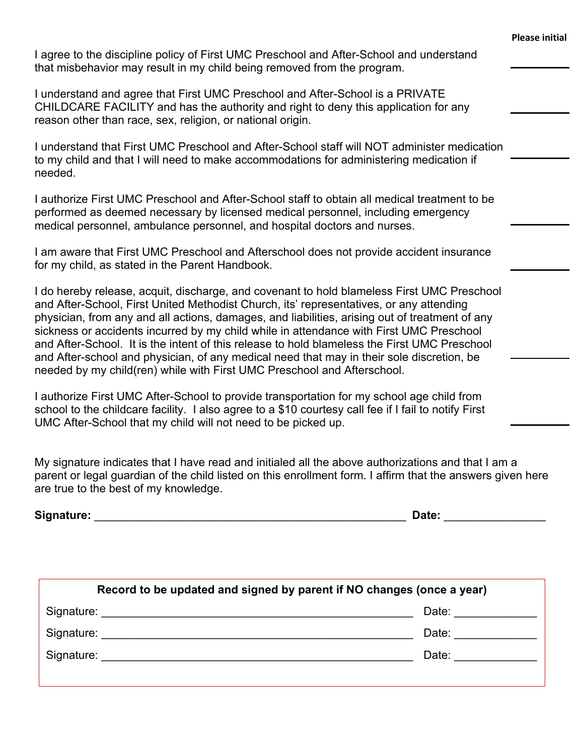|                                                                                                                                                                                                                                                                                                                                                                                                                                                                                                                                                                                                                                                            | <b>Please initial</b> |
|------------------------------------------------------------------------------------------------------------------------------------------------------------------------------------------------------------------------------------------------------------------------------------------------------------------------------------------------------------------------------------------------------------------------------------------------------------------------------------------------------------------------------------------------------------------------------------------------------------------------------------------------------------|-----------------------|
| I agree to the discipline policy of First UMC Preschool and After-School and understand<br>that misbehavior may result in my child being removed from the program.                                                                                                                                                                                                                                                                                                                                                                                                                                                                                         |                       |
| I understand and agree that First UMC Preschool and After-School is a PRIVATE<br>CHILDCARE FACILITY and has the authority and right to deny this application for any<br>reason other than race, sex, religion, or national origin.                                                                                                                                                                                                                                                                                                                                                                                                                         |                       |
| I understand that First UMC Preschool and After-School staff will NOT administer medication<br>to my child and that I will need to make accommodations for administering medication if<br>needed.                                                                                                                                                                                                                                                                                                                                                                                                                                                          |                       |
| I authorize First UMC Preschool and After-School staff to obtain all medical treatment to be<br>performed as deemed necessary by licensed medical personnel, including emergency<br>medical personnel, ambulance personnel, and hospital doctors and nurses.                                                                                                                                                                                                                                                                                                                                                                                               |                       |
| I am aware that First UMC Preschool and Afterschool does not provide accident insurance<br>for my child, as stated in the Parent Handbook.                                                                                                                                                                                                                                                                                                                                                                                                                                                                                                                 |                       |
| I do hereby release, acquit, discharge, and covenant to hold blameless First UMC Preschool<br>and After-School, First United Methodist Church, its' representatives, or any attending<br>physician, from any and all actions, damages, and liabilities, arising out of treatment of any<br>sickness or accidents incurred by my child while in attendance with First UMC Preschool<br>and After-School. It is the intent of this release to hold blameless the First UMC Preschool<br>and After-school and physician, of any medical need that may in their sole discretion, be<br>needed by my child(ren) while with First UMC Preschool and Afterschool. |                       |
| I authorize First UMC After-School to provide transportation for my school age child from<br>school to the childcare facility. I also agree to a \$10 courtesy call fee if I fail to notify First<br>UMC After-School that my child will not need to be picked up.                                                                                                                                                                                                                                                                                                                                                                                         |                       |
| My signature indicates that I have read and initialed all the above authorizations and that I am a<br>parent or legal guardian of the child listed on this enrollment form. I affirm that the answers given here<br>are true to the best of my knowledge.                                                                                                                                                                                                                                                                                                                                                                                                  |                       |
|                                                                                                                                                                                                                                                                                                                                                                                                                                                                                                                                                                                                                                                            |                       |

| would to be apadled and signed by parent in the endinges (once a year) |  |       |  |
|------------------------------------------------------------------------|--|-------|--|
| Signature:                                                             |  | Date: |  |
| Signature:                                                             |  | Date: |  |
| Signature:                                                             |  | Date: |  |
|                                                                        |  |       |  |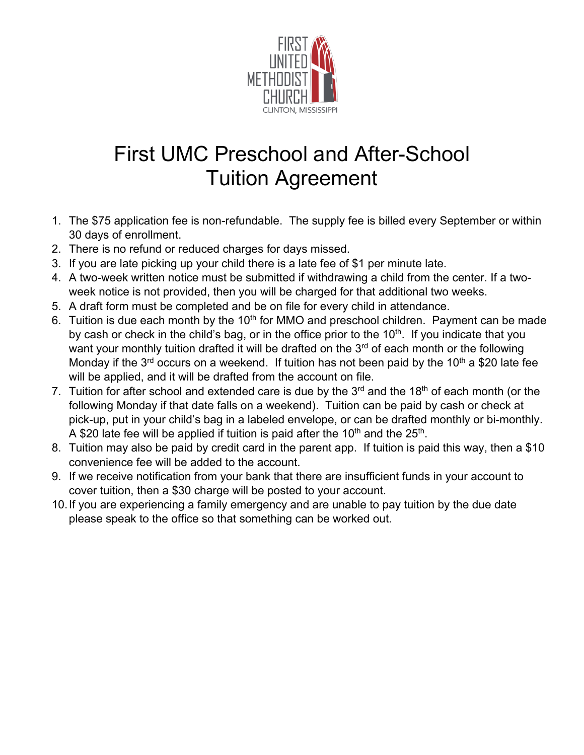

# First UMC Preschool and After-School Tuition Agreement

- 1. The \$75 application fee is non-refundable. The supply fee is billed every September or within 30 days of enrollment.
- 2. There is no refund or reduced charges for days missed.
- 3. If you are late picking up your child there is a late fee of \$1 per minute late.
- 4. A two-week written notice must be submitted if withdrawing a child from the center. If a twoweek notice is not provided, then you will be charged for that additional two weeks.
- 5. A draft form must be completed and be on file for every child in attendance.
- 6. Tuition is due each month by the 10<sup>th</sup> for MMO and preschool children. Payment can be made by cash or check in the child's bag, or in the office prior to the  $10<sup>th</sup>$ . If you indicate that you want your monthly tuition drafted it will be drafted on the 3<sup>rd</sup> of each month or the following Monday if the  $3<sup>rd</sup>$  occurs on a weekend. If tuition has not been paid by the 10<sup>th</sup> a \$20 late fee will be applied, and it will be drafted from the account on file.
- 7. Tuition for after school and extended care is due by the  $3<sup>rd</sup>$  and the 18<sup>th</sup> of each month (or the following Monday if that date falls on a weekend). Tuition can be paid by cash or check at pick-up, put in your child's bag in a labeled envelope, or can be drafted monthly or bi-monthly. A \$20 late fee will be applied if tuition is paid after the  $10<sup>th</sup>$  and the  $25<sup>th</sup>$ .
- 8. Tuition may also be paid by credit card in the parent app. If tuition is paid this way, then a \$10 convenience fee will be added to the account.
- 9. If we receive notification from your bank that there are insufficient funds in your account to cover tuition, then a \$30 charge will be posted to your account.
- 10. If you are experiencing a family emergency and are unable to pay tuition by the due date please speak to the office so that something can be worked out.